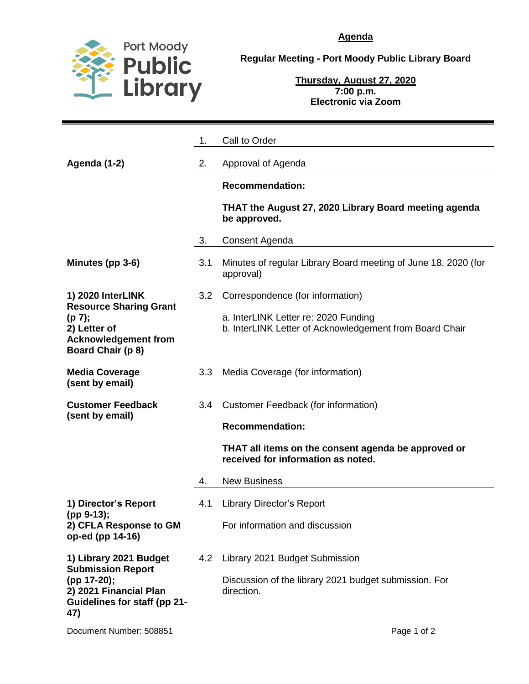

**Agenda**

**Regular Meeting - Port Moody Public Library Board**

**Thursday, August 27, 2020 7:00 p.m. Electronic via Zoom**

|                                                                                                                                           | 1.               | Call to Order                                                                                   |
|-------------------------------------------------------------------------------------------------------------------------------------------|------------------|-------------------------------------------------------------------------------------------------|
| Agenda (1-2)                                                                                                                              | 2.               | Approval of Agenda                                                                              |
|                                                                                                                                           |                  | <b>Recommendation:</b>                                                                          |
|                                                                                                                                           |                  | THAT the August 27, 2020 Library Board meeting agenda<br>be approved.                           |
|                                                                                                                                           | 3.               | Consent Agenda                                                                                  |
| Minutes (pp 3-6)                                                                                                                          | 3.1              | Minutes of regular Library Board meeting of June 18, 2020 (for<br>approval)                     |
| 1) 2020 InterLINK<br><b>Resource Sharing Grant</b><br>(p 7);<br>2) Letter of<br><b>Acknowledgement from</b><br>Board Chair (p 8)          | 3.2 <sub>2</sub> | Correspondence (for information)                                                                |
|                                                                                                                                           |                  | a. InterLINK Letter re: 2020 Funding<br>b. InterLINK Letter of Acknowledgement from Board Chair |
| <b>Media Coverage</b><br>(sent by email)                                                                                                  | 3.3              | Media Coverage (for information)                                                                |
| <b>Customer Feedback</b>                                                                                                                  | $3.4^{\circ}$    | Customer Feedback (for information)                                                             |
| (sent by email)                                                                                                                           |                  | <b>Recommendation:</b>                                                                          |
|                                                                                                                                           |                  | THAT all items on the consent agenda be approved or<br>received for information as noted.       |
|                                                                                                                                           | 4.               | <b>New Business</b>                                                                             |
| 1) Director's Report<br>(pp 9-13);<br>2) CFLA Response to GM<br>op-ed (pp 14-16)                                                          | 4.1              | <b>Library Director's Report</b>                                                                |
|                                                                                                                                           |                  | For information and discussion                                                                  |
| 1) Library 2021 Budget<br><b>Submission Report</b><br>(pp 17-20);<br>2) 2021 Financial Plan<br><b>Guidelines for staff (pp 21-</b><br>47) | 4.2              | Library 2021 Budget Submission                                                                  |
|                                                                                                                                           |                  | Discussion of the library 2021 budget submission. For<br>direction.                             |
|                                                                                                                                           |                  |                                                                                                 |